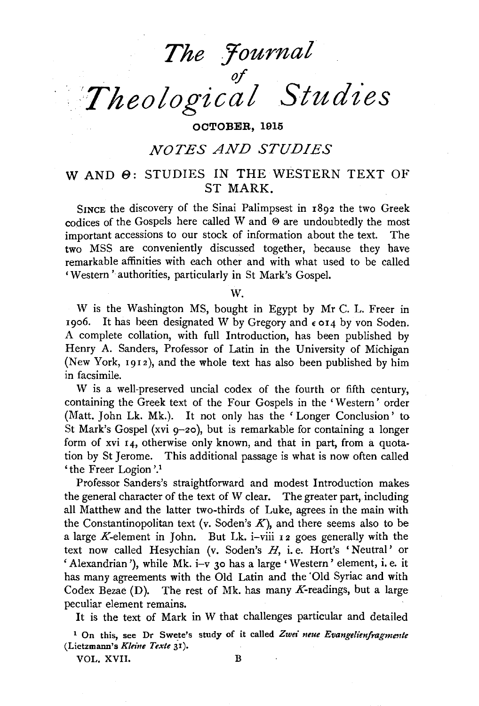*The yournal* 

*of \_'.Theological Studies* 

**OCTOBER, 1915** 

# *NOTES AND STUDIES*

# **W** AND **e:** STUDIES IN **THE** WESTERN TEXT OF ST MARK.

SINCE the discovery of the Sinai Palimpsest in 1892 the two Greek codices of the Gospels here called W and ® are undoubtedly the most important accessions to our stock of information about the text. The two MSS are conveniently discussed together, because they have remarkable affinities with each other and with what used to be called 'Western'· authorities, particularly in St Mark's Gospel.

w.

W is the Washington MS, bought in Egypt by Mr C. L. Freer in 1906. It has been designated W by Gregory and  $\epsilon$  or 4 by von Soden. A complete collation, with full Introduction, has been published by Henry A. Sanders, Professor of Latin in the University of Michigan (New York, 1912), and the whole text has also been published by him in facsimile.

W is a well-preserved uncial codex of the fourth or fifth century, containing the Greek text of the Four Gospels in the 'Western' order (Matt. John Lk. Mk.). It not only has the 'Longer Conclusion' to St Mark's Gospel (xvi  $9-20$ ), but is remarkable for containing a longer form of xvi 14, otherwise only known, and that in part, from a quotation by St Jerome. This additional passage is what is now often called 'the Freer Logion '.1

Professor Sanders's straightforward and modest Introduction makes the general character of the text of W clear. The greater part, including all Matthew and the latter two-thirds of Luke, agrees in the main with the Constantinopolitan text (v. Soden's  $K$ ), and there seems also to be a large K-element in John. But Lk. i-viii  $12$  goes generally with the text now called Hesychian (v. Soden's  $H$ , i.e. Hort's 'Neutral' or ' Alexandrian '), while Mk. i-v 30 has a large ' Western ' element, i. e. it has many agreements with the Old Latin and the 'Old Syriac and with Codex Bezae  $(D)$ . The rest of Mk. has many K-readings, but a large peculiar element remains.

It is the text of Mark in W that challenges particular and detailed

1 On this, see Dr Swete's study of it called *Zwei neue Evangelienfragmente*  (Lietzmann's *Kleine Texte* 31).

VOL. XVII. B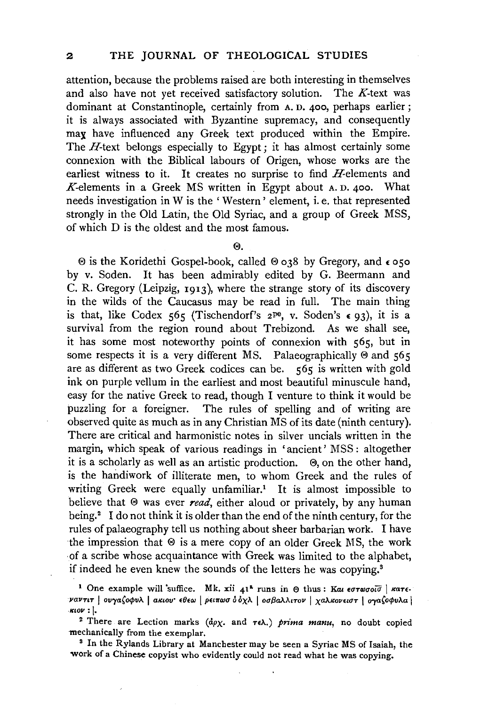attention, because the problems raised are both interesting in themselves and also have not yet received satisfactory solution. The  $K$ -text was dominant at Constantinople, certainly from A. D. 400, perhaps earlier ; it is always associated with Byzantine supremacy, and consequently may have influenced any Greek text produced within the Empire. The  $H$ -text belongs especially to Egypt; it has almost certainly some connexion with the Biblical labours of Origen, whose works are the earliest witness to it. It creates no surprise to find  $H$ -elements and  $K$ -elements in a Greek MS written in Egypt about A. D. 400. What needs investigation in W is the 'Western' element, i. e. that represented strongly in the Old Latin, the Old Syriac, and a group of Greek MSS, of which D is the oldest and the most famous.

#### ®.

 $\Theta$  is the Koridethi Gospel-book, called  $\Theta$  038 by Gregory, and  $\epsilon$  050 by v. Soden. It has been admirably edited by G. Beermann and C. R. Gregory (Leipzig, 1913), where the strange story of its discovery in the wilds of the Caucasus may be read in full. The main thing is that, like Codex 565 (Tischendorf's  $2^{p\theta}$ , v. Soden's  $\epsilon$  93), it is a survival from the region round about Trebizond. As we shall see, it has some most noteworthy points of connexion with 565, but in some respects it is a very different MS. Palaeographically  $\Theta$  and 565 are as different as two Greek codices can be. 565 is written with gold ink on purple vellum in the earliest and most beautiful minuscule hand, easy for the native Greek to read, though I venture to think it would be puzzling for a foreigner. The rules of spelling and of writing are observed quite as much as in any Christian MS of its date (ninth century). There are critical and harmonistic notes in silver uncials written in the margin, which speak of various readings in 'ancient' MSS: altogether it is a scholarly as well as an artistic production. ®, on the other hand, is the handiwork of illiterate men, to whom Greek and the rules of writing Greek were equally unfamiliar.<sup>1</sup> It is almost impossible to believe that  $\Theta$  was ever *read*, either aloud or privately, by any human being.<sup>2</sup> I do not think it is older than the end of the ninth century, for the rules of palaeography tell us nothing about sheer barbarian work. I have the impression that ® is a mere copy of an older Greek MS, the work ·of a scribe whose acquaintance with Greek was limited to the alphabet, if indeed he even knew the sounds of the letters he was copying.<sup>3</sup>

<sup>1</sup> One example will suffice. Mk. xii  $41^2$  runs in  $\Theta$  thus:  $K\alpha$   $\epsilon \sigma \tau \omega \sigma o\bar{u}$  |  $\kappa \alpha \tau \epsilon$ vavτιτ | ουγαζοφυλ | ακιου· εθεω | ρειπωσ δόχλ | οσβαλλιτον | χαλκονειστ | ογαζοφυλα |  $k$ lov:  $\vert$ .

<sup>2</sup> There are Lection marks ( $d\rho\chi$ , and  $\tau\epsilon\lambda$ .) *prima manu*, no doubt copied mechanically from the exemplar.

s In the Rylands Library at Manchester may be seen a Syriac MS of Isaiah, the work of a Chinese copyist who evidently could not read what he was copying.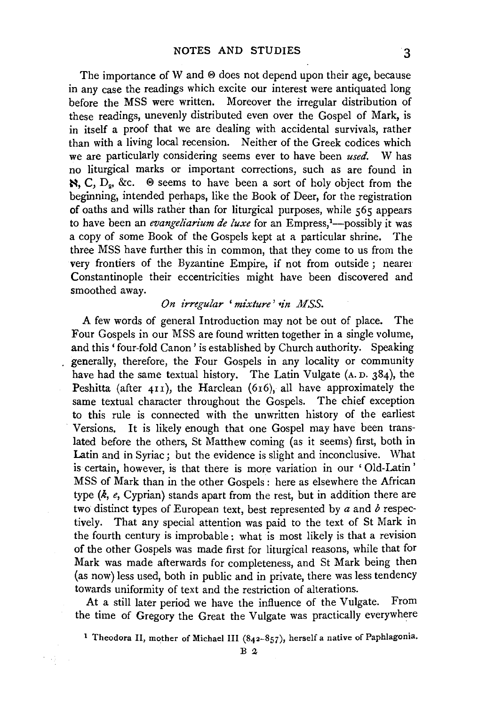The importance of W and  $\Theta$  does not depend upon their age, because in any case the readings which excite our interest were antiquated long before the MSS were written. Moreover the irregular distribution of these readings, unevenly distributed even over the Gospel of Mark, is in itself a proof that we are dealing with accidental survivals, rather than with a living local recension. Neither of the Greek codices which we are particularly considering seems ever to have been *used.* W has no liturgical marks or important corrections, such as are found in N, C, D<sub>2</sub>, &c.  $\Theta$  seems to have been a sort of holy object from the beginning, intended perhaps, like the Book of Deer, for the registration of oaths and wills rather than for liturgical purposes, while  $565$  appears to have been an *evangeliarium de luxe* for an Empress,<sup>1</sup>—possibly it was a copy of some Book of the Gospels kept at a particular shrine. The three MSS have further this in common, that they come to us from the very frontiers of the Byzantine Empire, if not from outside ; nearer Constantinople their eccentricities might have been discovered and smoothed away.

## *On irregular 'mixture' •in MSS.*

A few words of general Introduction may not be out of place. The Four Gospels in our MSS are found written together in a single volume, and this 'four-fold Canon' is established by Church authority. Speaking generally, therefore, the Four Gospels in any locality or community have had the same textual history. The Latin Vulgate (A. D. 384), the Peshitta (after  $411$ ), the Harclean (616), all have approximately the same textual character throughout the Gospels. The chief exception to this rule is connected with the unwritten history of the earliest Versions. It is likely enough that one Gospel may have been translated before the others, St Matthew coming (as it seems) first, both in Latin and in Syriac; but the evidence is slight and inconclusive. What is certain, however, is that there is more variation in our 'Old-Latin' MSS of Mark than in the other Gospels : here as elsewhere the African type (k, *e,* Cyprian) stands apart from the rest, but in addition there are two distinct types of European text, best represented by *a* and *b* respectively. That any special attention was paid to the text of St Mark in the fourth century is improbable: what is most likely is that a revision of the other Gospels was made first for liturgical reasons, while that for Mark was made afterwards for completeness, and St Mark being then (as now) less used, both in public and in private, there was less tendency towards uniformity of text and the restriction of alterations.

At a still later period we have the influence of the Vulgate. From the time of Gregory the Great the Vulgate was practically everywhere

<sup>1</sup> Theodora II, mother of Michael III (842-857), herself a native of Paphlagonia.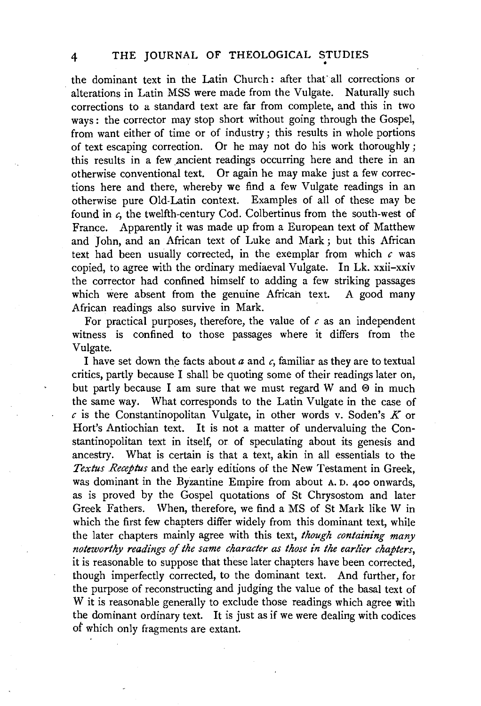the dominant text in the Latin Church: after that· all corrections or alterations in Latin MSS were made from the Vulgate. Naturally such corrections to a standard text are far from complete, and this in two ways: the corrector may stop short without going through the Gospel, from want either of time or of industry ; this results in whole portions of text escaping correction. Or he may not do his work thoroughly; this results in a few ancient readings occurring here and there in an otherwise conventional text. Or again he may make just a few corrections here and there, whereby we find a few Vulgate readings in an otherwise pure Old-Latin context. Examples of all of these may be found in *c,* the twelfth-century Cod. Colbertinus from the south-west of France. Apparently it was made up from a European text of Matthew and John, and an African text of Luke and Mark; but this African text had been usually corrected, in the exemplar from which *c* was copied, to agree with the ordinary mediaeval Vulgate. In Lk. xxii-xxiv the corrector had confined himself to adding a few striking passages which were absent from the genuine African text. A good many African readings also survive in Mark.

For practical purposes, therefore, the value of  $c$  as an independent witness is confined to those passages where it differs from the Vulgate.

I have set down the facts about *a* and *c,* familiar as they are to textual critics, partly because I shall be quoting some of their readings later on, but partly because I am sure that we must regard W and  $\Theta$  in much the same way. What corresponds to the Latin Vulgate in the case of  $c$  is the Constantinopolitan Vulgate, in other words v. Soden's  $K$  or Hort's Antiochian text. It is not a matter of undervaluing the Constantinopolitan text in itself, or of speculating about its genesis and ancestry. What is certain is that a text, akin in all essentials to the *Textus Receptus* and the early editions of the New Testament in Greek, was dominant in the Byzantine Empire from about A. D. 400 onwards, as is proved by the Gospel quotations of St Chrysostom and later Greek Fathers. When, therefore, we find a MS of St Mark like W in which the first few chapters differ widely from this dominant text, while the later chapters mainly agree with this text, *though containing many noteworthy readings* of *the same character as those in the earlier chapters,*  it is reasonable to suppose that these later chapters have been corrected, though imperfectly corrected, to the dominant text. And further, for the purpose of reconstructing and judging the value of the basal text of W it is reasonable generally to exclude those readings which agree with the dominant ordinary text. It is just as if we were dealing with codices of which only fragments are extant.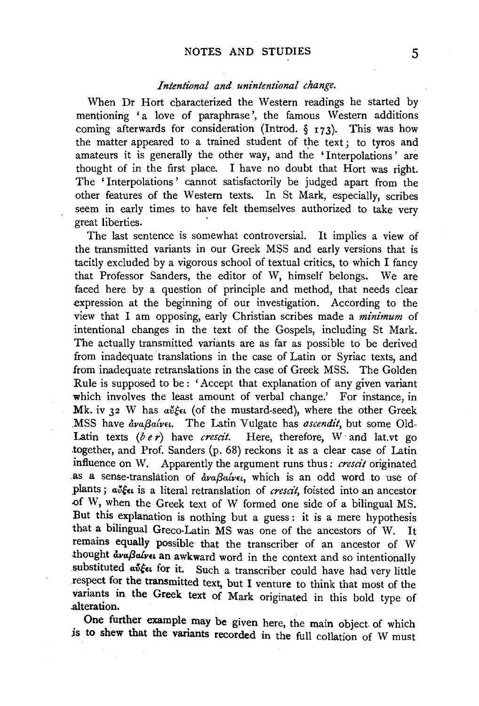### *Intentional and unintentional change.*

When Dr Hort characterized the Western readings he started by mentioning 'a love of paraphrase', the famous Western additions coming afterwards for consideration (Introd.  $\S$  173). This was how the matter appeared to a trained student of the text; to tyros and amateurs it is generally the other way, and the 'Interpolations' are thought of in the first place. I have no doubt that Hort was right. The ' Interpolations ' cannot satisfactorily be judged apart from the other features of the Western texts. In St Mark, especially, scribes seem in early times to have felt themselves authorized to take very great liberties.

The last sentence is somewhat controversial. It implies a view of the transmitted variants in our Greek MSS and early versions that is tacitly excluded by a vigorous school of textual critics, to which I fancy that Professor Sanders, the editor of W, himself belongs. We are faced here by a question of principle and method, that needs clear expression at the beginning of our investigation. According to the view that I am opposing, early Christian scribes made a *minimum* of intentional changes in the text of the Gospels, including St Mark. The actually transmitted variants are as far as possible to be derived from inadequate translations in the case of Latin or Syriac texts, and from inadequate retranslations in the case of Greek MSS. The Golden Rule is supposed to be : 'Accept that explanation of any given variant which involves the least amount of verbal change.' For instance, in Mk. iv 32 W has  $a\tilde{v}\xi\epsilon\iota$  (of the mustard-seed), where the other Greek MSS have  $\frac{\partial u}{\partial x}$  and  $\frac{\partial u}{\partial y}$  and  $\frac{\partial u}{\partial z}$  and  $\frac{\partial u}{\partial x}$  and  $\frac{\partial u}{\partial x}$  are  $\frac{\partial u}{\partial y}$ Latin texts (ber) have crescit. Here, therefore, W and lat.vt go .together, and Prof. Sanders (p. 68) reckons it as a clear case of Latin influence on W. Apparently the argument runs thus: *cresdt* originated as a sense-translation of  $\frac{d}{dt}$  *afa{vel,* which is an odd word to use of plants;  $a\check{v}$ *fa* is a literal retranslation of *crescit*, foisted into an ancestor of W, when the Greek text of W formed one side of a bilingual MS. But this explanation is nothing but a guess : it is a mere hypothesis that a bilingual Greco-Latin MS was one of the ancestors of W. It remains equally possible that the transcriber of an ancestor of W thought *dvaßalvet* an awkward word in the context and so intentionally substituted  $\omega \xi \epsilon \iota$  for it. Such a transcriber could have had very little respect for the transmitted text, but I venture to think that most of the variants in the Greek text of Mark originated in this bold type of .alteration.

. One further example. may be given here, the main object of which is to shew that the variants recorded in the full collation of W must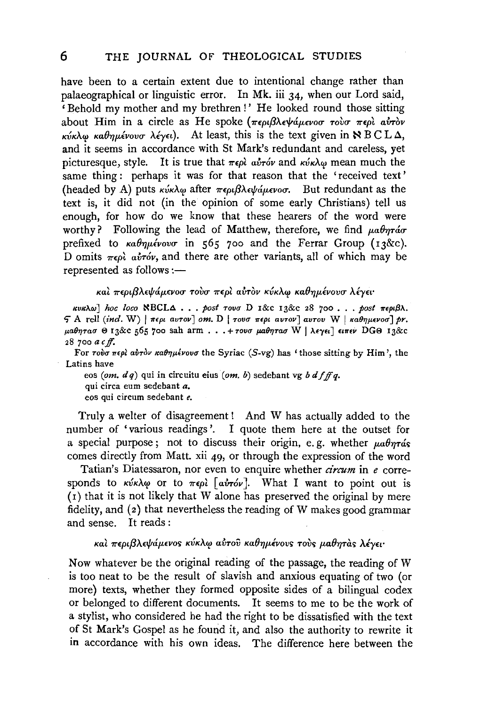have been to a certain extent due to intentional change rather than palaeographical or linguistic error. In Mk. iii 34, when our Lord said, 'Behold my mother and my brethren!' He looked round those sitting about Him in a circle as He spoke (περιβλεψάμενοσ τουσ περι αυτον  $K\acute{\nu}\kappa\lambda\omega$   $\kappa a\theta\eta\mu\acute{\epsilon}\nu o\nu\sigma$   $\lambda\acute{\epsilon}\gamma\epsilon\iota$ . At least, this is the text given in  $NBCLA$ , and it seems in accordance with St Mark's redundant and careless, yet picturesque, style. It is true that  $\pi \epsilon \rho \hat{i}$  *airtor* and  $\kappa \hat{i} \kappa \lambda \omega$  mean much the same thing: perhaps it was for that reason that the 'received text' (headed by A) puts *KvKA'{'* after *7r•pif3A.•iftaµ.•vorr.* But redundant as the text is, it did not (in the opinion of some early Christians) tell us enough, for how do we know that these hearers of the word were worthy? Following the lead of Matthew, therefore, we find  $\mu a \theta$ máo prefixed to *καθημένουσ* in 565 700 and the Ferrar Group (13&c). D omits  $\pi\epsilon\rho\hat{i}$  *avrov*, and there are other variants, all of which may be represented as follows :-

### *Kat 7r•pif3A.•iftaµ.£Vorr Tovrr* 7rEpl *avT6v KvKA'{' KaO'f/µ.lvovrr >..f.y•i·*

1CV1C.\C<1] *hoe loco* ~BCLa ... *post* Touu D 1&c 13&c 28 700 •.. *post 1TEp1/3.\.*   $\mathcal{F}$  A rell *(incl. W)*  $\mathcal{F}$   $\pi$ *c* $\mu$  *auTov*  $\mathcal{F}$  *om. D*  $\mathcal{F}$  *Toug*  $\pi$ *ερι auTov W | καθημενοσ*  $\mathcal{F}$ *r.*  $\mu$ αθητασ Θ 13&c 565 700 sah arm . . . + τουσ μαθητασ W | λεγει | ειπεν DGΘ 13&c 28 700 *a cjf.* 

For τούσ περί αύτον καθημένουσ the Syriac (S-vg) has 'those sitting by Him', the Latins have

eos *(om. d q)* qui in circuitu eius *(om. b)* sedebant vg *b dfjf q.*  qui circa eum sedebant *a.*  eos qui circum sedebant *e.* 

Truly a welter of disagreement! And W has actually added to the number of 'various readings '. I quote them here at the outset for a special purpose; not to discuss their origin, e.g. whether  $\mu a \theta \eta \tau a s$ comes directly from Matt. xii 49, or through the expression of the word

Tatian's Diatessaron, nor even to enquire whether *drcum* in *e* corresponds to *κύκλω* or to περl [αύτόν]. What I want to point out is  $(i)$  that it is not likely that W alone has preserved the original by mere fidelity, and (2) that nevertheless the reading of W makes good grammar and sense. It reads :

### καί περιβλεψάμενος κύκλω αύτοῦ καθημένους τοὺς μαθητὰς λέγει·

Now whatever be the original reading of the passage, the reading of W is too neat to be the result of slavish and anxious equating of two (or more) texts, whether they formed opposite sides of a bilingual codex or belonged to different documents. It seems to me to be the work of a stylist, who considered he had the right to be dissatisfied with the text of St Mark's Gospel as he found it, and also the authority to rewrite it in accordance with his own ideas. The difference here between the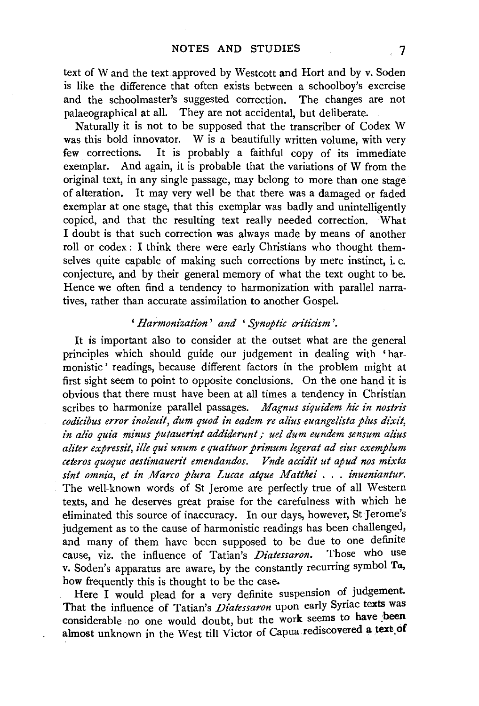text of Wand the text approved by Westcott and Hort and by v. Soden is like the difference that often exists between a schoolboy's exercise and the schoolmaster's suggested correction. The changes are not palaeographical at all. They are not accidental, but deliberate.

Naturally it is not to be supposed that the transcriber of Codex W was this bold innovator. W is a beautifully written volume, with very few corrections. It is probably a faithful copy of its immediate exemplar. And again, it is probable that the variations of W from the original text, in any single passage, may belong to more than one stage of alteration. It may very well be that there was a damaged or faded exemplar at one stage, that this exemplar was badly and unintelligently copied, and that the resulting text really needed correction. What I doubt is that such correction was always made by means of another roll or codex : I think there were early Christians who thought themselves quite capable of making such corrections by mere instinct, i. e. conjecture, and by their general memory of what the text ought to be. Hence we often find a tendency to harmonization with parallel narratives, rather than accurate assimilation to another Gospel.

## *'Harmonization' and 'Synoptic criticism'.*

It is important also to consider at the outset what are the general principles which should guide our judgement in dealing with 'harmonistic' readings, because different factors in the problem might at first sight seem to point to opposite conclusions. On the one hand it is obvious that there must have been at all times a tendency in Christian scribes to harmonize parallel passages. *Magnus siquidem hie in nostris*  codicibus error inoleuit, dum quod in eadem re alius euangelista plus dixit, in alio quia minus putauerint addiderunt ; uel dum eundem sensum alius *aliter expressit, ille qui unum e quattuor primum legerat ad eius exemplum ceteros quoque aestimauerit emendandos. Vnde acddit ut apud nos mixta sint omnia, et in Marco plura Lucae atque Matthei* . . . *inueniantur.*  The well-known words of St Jerome are perfectly true of all Western texts, and he deserves great praise for the carefulness with which he eliminated this source of inaccuracy. In our days, however, St Jerome's judgement as to the cause of harmonistic readings has been challenged, and many of them have been supposed to be due to one definite cause, viz. the influence of Tatian's *Diatessaron.* Those who use v. Soden's apparatus are aware, by the constantly recurring symbol *Ta,*  how frequently this is thought to be the case.

Here I would plead for a very definite suspension of judgement. That the influence of Tatian's *Diatessaron* upon early Synac texts was considerable no one would doubt, but the work seems to have been almost unknown in the West till Victor of Capua rediscovered a text of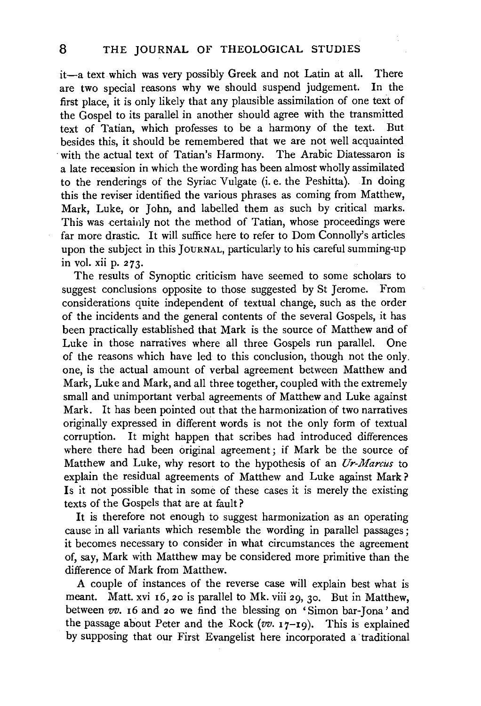it-a text which was very possibly Greek and not Latin at all. There are two special reasons why we should suspend judgement. In the first place, it is only likely that any plausible assimilation of one text of the Gospel to its parallel in another should agree with the transmitted text of Tatian, which professes to be a harmony of the text. But besides this, it should be remembered that we are not well acquainted with the actual text of Tatian's Harmony. The Arabic Diatessaron is a late recension in which the wording has been almost wholly assimilated to the renderings of the Syriac Vulgate (i. e. the Peshitta). In doing this the reviser identified the various phrases as coming from Matthew, Mark, Luke, or John, and labelled them as such by critical marks. This was certainly not the method of Tatian, whose proceedings were far more drastic. It will suffice here to refer to Dom Connolly's articles upon the subject in this JOURNAL, particularly to his careful summing-up in vol. xii p. 273.

The results of Synoptic criticism have seemed to some scholars to suggest conclusions opposite to those suggested by St Jerome. From considerations quite independent of textual change, such as the order of the incidents and the general contents of the several Gospels, it has been practically established that Mark is the source of Matthew and of Luke in those narratives where all three Gospels run parallel. One of the reasons which have led to this conclusion, though not the only. one, is the actual amount of verbal agreement between Matthew and Mark, Luke and Mark, and all three together, coupled with the extremely small and unimportant verbal agreements of Matthew and Luke against Mark. It has been pointed out that the harmonization of two narratives originally expressed in different words is not the only form of textual corruption. It might happen that scribes had introduced differences where there had been original agreement; if Mark be the source of Matthew and Luke, why resort to the hypothesis of an *Ur-Marcus* to explain the residual agreements of Matthew and Luke against Mark? Is it not possible that in some of these cases it is merely the existing texts of the Gospels that are at fault?

It is therefore not enough to suggest harmonization as an operating cause in all variants which resemble the wording in parallel passages ; it becomes necessary to consider in what circumstances the agreement of, say, Mark with Matthew may be considered more primitive than the difference of Mark from Matthew.

A couple of instances of the reverse case will explain best what is meant. Matt. xvi 16, 20 is parallel to Mk. viii 29, 30. But in Matthew, between *vv.* 16 and 20 we find the blessing on 'Simon bar-Jona' and the passage about Peter and the Rock ( $vv$ . 17-19). This is explained by supposing that our First Evangelist here incorporated a· traditional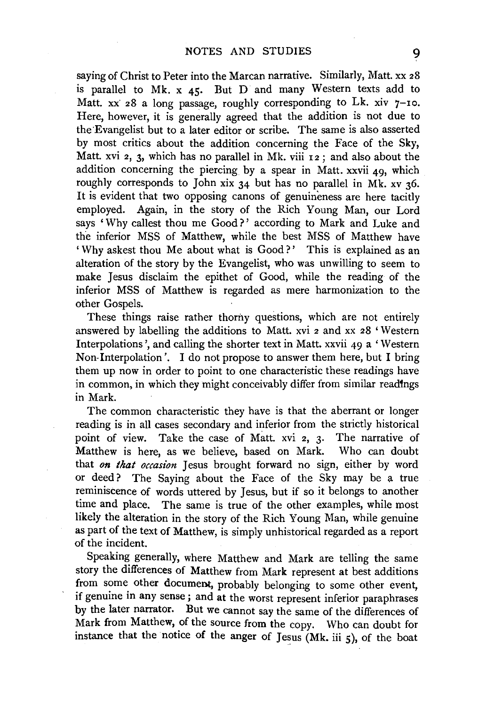saying of Christ to Peter into the Marcan narrative. Similarly, Matt. xx 28 is parallel to Mk.  $x$   $45$ . But D and many Western texts add to Matt. xx  $28$  a long passage, roughly corresponding to Lk. xiv  $7-10$ . Here, however, it is generally agreed that the addition is not due to the Evangelist but to a later editor or scribe. The same is also asserted by most critics about the addition concerning the Face of the Sky, Matt. xvi 2, 3, which has no parallel in Mk. viii  $12$ ; and also about the addition concerning the piercing by a spear in Matt. xxvii 49, which roughly corresponds to John xix  $34$  but has no parallel in Mk. xv  $36$ . It is evident that two opposing canons of genuineness are here tacitly employed. Again, in the story of the Rich Young Man, our Lord says 'Why callest thou me Good?' according to Mark and Luke and the inferior MSS of Matthew, while the best MSS of Matthew have 'Why askest thou Me about what is Good?' This is explained as an alteration of the story by the Evangelist, who was unwilling to seem to make Jesus disclaim the epithet of Good, while the reading of the inferior MSS of Matthew is regarded as mere harmonization to the other Gospels.

These things raise rather thorny questions, which are not entirely answered by labelling the additions to Matt. xvi 2 and xx 28 'Western Interpolations ', and calling the shorter text in Matt. xxvii 49 a ' Western Non-Interpolation'. I do not propose to answer them here, but I bring them up now in order to point to one characteristic these readings have in common, in which they might conceivably differ from similar readings in Mark.

The common characteristic they have is that the aberrant or longer reading is in all cases secondary and inferior from the strictly historical point of view. Take the case of Matt. xvi 2, 3. The narrative of Matthew is here, as we believe, based on Mark. Who can doubt that *on tkat occasion* Jesus brought forward no sign, either by word or deed? The Saying about the Face of the Sky may be a true reminiscence of words uttered by Jesus, but if so it belongs to another time and place. The same is true of the other examples, while most likely the alteration in the story of the Rich Young Man, while genuine as part of the text of Matthew, is simply unhistorical regarded as a report of the incident.

Speaking generally, where Matthew and Mark are telling the same story the differences of Matthew from Mark represent at best additions from some other document, probably belonging to some other event, if genuine in any sense ; and at the worst represent inferior paraphrases by the later narrator. But we cannot say the same of the differences of Mark from Matthew, of the source from the copy. Who can doubt for instance that the notice of the anger of Jesus (Mk. iii  $5$ ), of the boat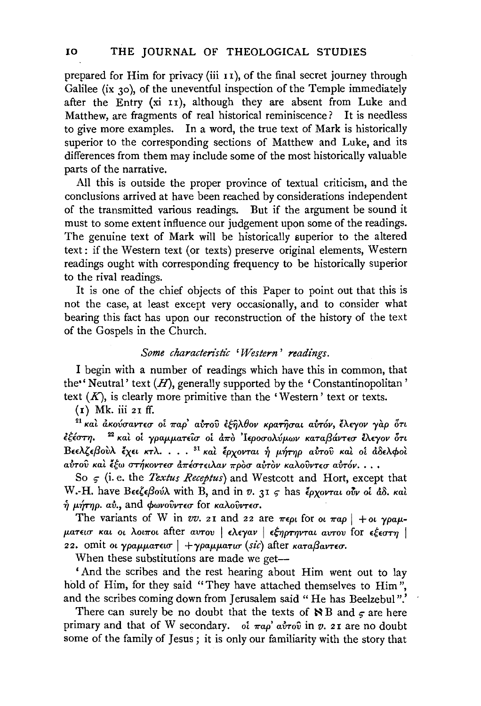prepared for Him for privacy (iii 11 ), of the final secret journey through Galilee (ix 30), of the uneventful inspection of the Temple immediately after the Entry (xi 11), although they are absent from Luke and Matthew, are fragments of real historical reminiscence? It is needless to give more examples. In a word, the true text of Mark is historically superior to the corresponding sections of Matthew and Luke, and its differences from them may include some of the most historically valuable parts of the narrative.

All this is outside the proper province of textual criticism, and the conclusions arrived at have been reached by considerations independent of the transmitted various readings. But if the argument be sound it must to some extent influence our judgement upon some of the readings. The genuine text of Mark will be historically superior to the altered text: if the Western text (or texts) preserve original elements, Western readings ought with corresponding frequency to be historically superior to the rival readings.

It is one of the chief objects of this Paper to point out that this is not the case, at least except very occasionally, and to consider what bearing this fact has upon our reconstruction of the history of the text of the Gospels in the Church.

### *Some characteristic 'Western' readings.*

I begin with a number of readings which have this in common, that the "Neutral' text  $(H)$ , generally supported by the 'Constantinopolitan' text  $(K)$ , is clearly more primitive than the 'Western' text or texts.

(1) Mk. iii 21 ff.<br><sup>21</sup> και ακούσαντεσ οι παρ' αυτου εξήλθον κρατήσαι αυτόν, έλεγον γαρ ότι €~t<TTIJ. <sup>22</sup>*KaL oi ypaµ,µ.arEtcr oi* d7ro *'IEpocroA.vµwv Karaf3avncr* EAEyov *6ri*  Bεελζεβούλ έχει κτλ. . . . <sup>31</sup> και έρχονται ή μήτηρ αυτού και οι άδελφοι aύτου και έξω στήκοντεσ απέστειλαν προσ αυτον καλούντεσ αυτόν. . . .

So  $\zeta$  (i.e. the *Textus Receptus*) and Westcott and Hort, except that W.-H. have  $B\epsilon\epsilon\xi \epsilon\beta o\nu\lambda$  with B, and in  $v.$   $31 \leq$  has  $\epsilon_{\rho}$ *portal our oi do. Kal*  $<sup>η</sup> μήτηρ. αν<sup>1</sup>$ , and φωνο<sup>p</sup>ντεσ for *καλο*νντεσ.</sup>

The variants of W in  $vv$ . 21 and 22 are  $\pi \epsilon \rho_l$  for  $\alpha \pi \alpha \rho$  |  $+\alpha \gamma \rho \alpha \mu$ - $\mu$ ατεισ και οι λοιποι after *avrov* | ελεγαν | εξηρτηνται αυτου for εξεστη | 22. omit *oi γραμματείσ* | + γραμματισ (sic) after *καταβαντεσ.* 

When these substitutions are made we get-

' And the scribes and the rest hearing about Him went out to lay hold of Him, for they said "They have attached themselves to Him", and the scribes coming down from Jerusalem said "He has Beelzebul ".'

There can surely be no doubt that the texts of  $\aleph B$  and  $\varsigma$  are here primary and that of W secondary.  $o_i \pi a \rho^i a v \tau_0 \bar{v}$  in  $v$ . 21 are no doubt some of the family of Jesus ; it is only our familiarity with the story that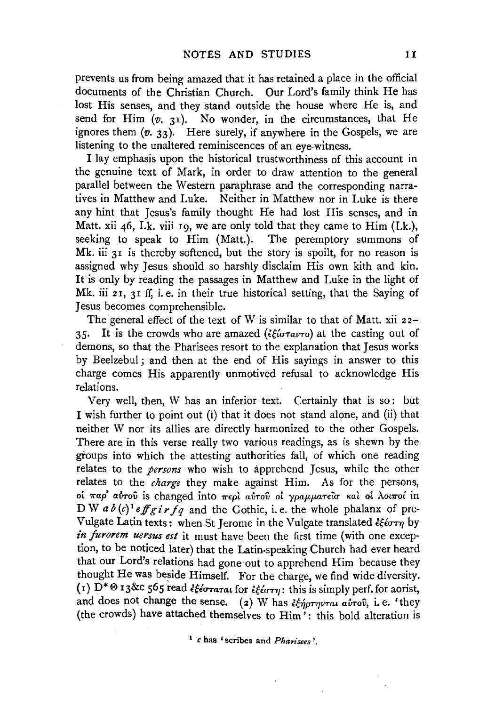prevents us from being amazed that it has retained a place in the official documents of the Christian Church. Our Lord's family think He has lost His senses, and they stand outside the house where He is, and send for Him  $(v, 31)$ . No wonder, in the circumstances, that He ignores them  $(v, 33)$ . Here surely, if anywhere in the Gospels, we are listening to the unaltered reminiscences of an eye-witness.

I lay emphasis upon the historical trustworthiness of this account in the genuine text of Mark, in order to draw attention to the general parallel between the Western paraphrase and the corresponding narratives in Matthew and Luke. Neither in Matthew nor in Luke is there any hint that Jesus's family thought He had lost His senses, and in Matt. xii 46, Lk. viii 19, we are only told that they came to  $\text{Him (Lk)}$ . seeking to speak to Him (Matt.). The peremptory summons of Mk. iii 31 is thereby softened, but the story is spoilt, for no reason is assigned why Jesus should so harshly disclaim His own kith and kin. It is only by reading the passages in Matthew and Luke in the light of Mk. iii 21, 31 ff, i.e. in their true historical setting, that the Saying of Jesus becomes comprehensible.

The general effect of the text of W is similar to that of Matt. xii 22-35. It is the crowds who are amazed  $(\partial \mathcal{E}(\sigma \tau \alpha \nu \tau))$  at the casting out of It is the crowds who are amazed ( $\epsilon \xi \omega \tau \alpha \nu \tau$ o) at the casting out of demons, so that the Pharisees resort to the explanation that Jesus works by Beelzebul; and then at the end of His sayings in answer to this charge comes His apparently unmotived refusal to acknowledge His relations.

Very well, then, *W* has an inferior text. Certainly that is so: but I wish further to point out (i) that it does not stand alone, and (ii) that neither W nor its allies are directly harmonized to the other Gospels. There are in this verse really two various readings, as is shewn by the groups into which the attesting authorities fall, of which one reading relates to the *persons* who wish to apprehend Jesus, while the other relates to the *charge* they make against Him. As for the persons, *oi 7rap' a&ov* is changed into 7r£pt *av'TOV oi ypaµµaT£l<T Kat oi A0l7ro{* in D W  $ab(c)^{1}$  *eff g ir fq* and the Gothic, i.e. the whole phalanx of pre-Vulgate Latin texts: when St Jerome in the Vulgate translated  $\frac{2\xi}{\xi + \sigma}$  by *in furorem uersus est* it must have been the first time (with one exception, to be noticed later) that the Latin-speaking Church had ever heard that our Lord's relations had gone out to apprehend Him because they thought He was beside Himself. For the charge, we find wide diversity. (1)  $D^* \Theta$  13&c 565 read *<i>¿téorarai* for *¿téorn*: this is simply perf. for aorist, and does not change the sense. (2) W has εξήρτηνται αύτου, i.e. 'they (the crowds) have attached themselves to Him': this bold alteration is

<sup>1</sup>*c* has ' scribes and *Pharisees* '.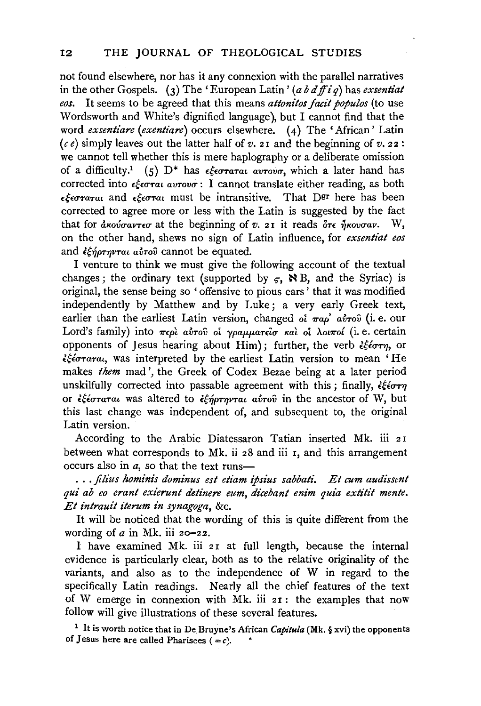not found elsewhere, nor has it any connexion with the parallel narratives in the other Gospels. (3) The 'European Latin' *(abdffiq)* has *exsentiat eos.* It seems to be agreed that this means *attonitos facit populos* (to use Wordsworth and White's dignified language), but I cannot find that the word *exsentiare (exentiare)* occurs elsewhere. (4) The 'African' Latin  $(c e)$  simply leaves out the latter half of *v*. 21 and the beginning of *v*. 22: we cannot tell whether this is mere haplography or a deliberate omission of a difficulty.<sup>1</sup> (5)  $D^*$  has  $\epsilon \xi$ *e* $\tau \alpha \tau \alpha \iota$  *avrovo*, which a later hand has corrected into *εξεσται αυτουσ*: I cannot translate either reading, as both *£t£uTarni* and *£t£ur-ai* must be intransitive. That Dgr here has been corrected to agree more or less with the Latin is suggested by the fact that for *ακούσαντεσ* at the beginning of *v.* 21 it reads *ότε ήκουσαν*. W, on the other hand, shews no sign of Latin influence, for *exsentiat eos*  and  $\epsilon \xi \eta \sigma \tau \eta \nu \tau \alpha \iota \alpha \nu \tau \sigma \hat{\nu}$  cannot be equated.

I venture to think we must give the following account of the textual changes; the ordinary text (supported by  $\varsigma$ ,  $\aleph$  B, and the Syriac) is original, the sense being so 'offensive to pious ears' that it was modified independently by Matthew and by Luke; a very early Greek text, earlier than the earliest Latin version, changed of  $\pi a \rho$   $\alpha \nu \tau o \bar{\nu}$  (i. e. our Lord's family) into περλ αύτου οι γραμματείσ<sup>και</sup> οι λοιποί (i. e. certain opponents of Jesus hearing about Him); further, the verb  $\frac{2\zeta}{\zeta}(\sigma\tau\eta)$ , or *£tlurnrni,* was interpreted by the earliest Latin version to mean 'He makes *them* mad ', the Greek of Codex Bezae being at a later period unskilfully corrected into passable agreement with this; finally,  $\epsilon \xi \epsilon \sigma \tau \eta$ or *£tlurnrni* was altered to *£t1/PTrivrni a&ov* in the ancestor of W, but this last change was independent of, and subsequent to, the original Latin version.

According to the Arabic Diatessaron Tatian inserted Mk. iii 21 between what corresponds to Mk. ii 28 and iii 1, and this arrangement occurs also in *a,* so that the text runs-

... *jilius lzominis dominus est etiam ipsius sabbati. Et cum audissent qui ab eo erant exierunt detinere eum, dicebant enim quia extitit mente. Et intrauit iterum in synagoga,* &c.

It will be noticed that the wording of this is quite different from the wording of *a* in Mk. iii 20-22.

I have examined Mk. iii 21 at full length, because the internal evidence is particularly clear, both as to the relative originality of the variants, and also as to the independence of W in regard to the specifically Latin readings. Nearly all the chief features of the text of W emerge in connexion with Mk. iii 21: the examples that now follow will give illustrations of these several features.

<sup>1</sup> It is worth notice that in De Bruyne's African *Capitula* (Mk. § xvi) the opponents of Jesus here are called Pharisees  $( = c)$ .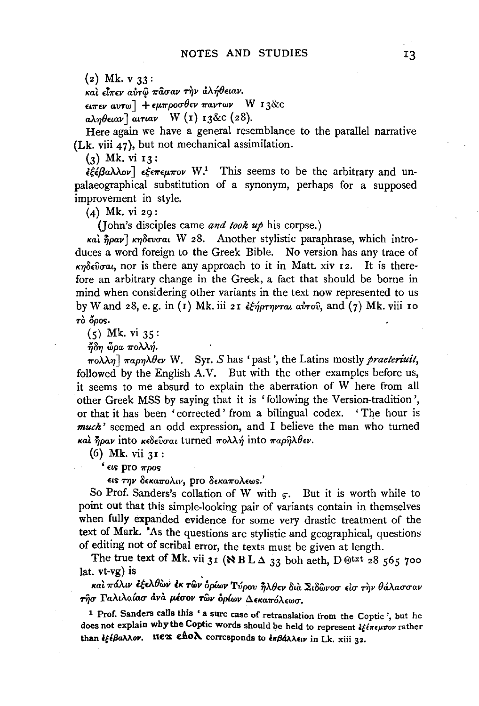$(2)$  Mk. v 33:

*Kal είπεν αύτω πάσαν την αλήθειαν.* 

 $\epsilon$ *ltev avtw*]  $+ \epsilon \mu \pi \rho$ oo $\theta$ ev  $\pi$ avtwv W I 3&c

 $a\lambda\eta\theta\epsilon\iota a\nu$  *action* W (1) 13&c (28).

Here again we have a general resemblance to the parallel narrative (Lk. viii 47), but not mechanical assimilation.

(3) Mk. vi 13:

 $\ell \xi \in \beta a \lambda \lambda o \nu$   $\epsilon \xi \epsilon \pi \epsilon \mu \pi o \nu$  W.<sup>1</sup> This seems to be the arbitrary and unpalaeographical substitution of a synonym, perhaps for a supposed improvement in style.

(4) Mk. vi 29:

(John's disciples came *and took up* his corpse.)

*Kal* ~pav] *K718wuai* W 28. Another stylistic paraphrase, which introduces a word foreign to the Greek Bible. No version has any trace of *KT/8Evuai,* nor is there any approach to it in Matt. xiv 12. It is therefore an arbitrary change in the Greek, a fact that should be borne in mind when considering other variants in the text now represented to us by W and 28, e. g. in (1) Mk. iii 21 *it of print ality*, and (7) Mk. viii 10  $\vec{r}$   $\phi$   $\delta$ *pos.* 

 $(5)$  Mk. vi 35:

 $\eta$ δη ὥρα πολλή.

 $\pi$ o $\lambda\lambda\eta$ ]  $\pi$ ap $\eta\lambda\theta$ ev W. Syr. *S* has 'past', the Latins mostly *praeteriuit*, followed by the English A.V. But with the other examples before us, it seems to me absurd to explain the aberration of W here from all other Greek MSS by saying that it is 'following the Version-tradition', or that it has been 'corrected ' from a bilingual codex. ' The hour is *much'* seemed an odd expression, and I believe the man who turned  $K$ αλ *ξ*<sub>ραν</sub> into *κεδεύσαι* turned πολλή into παρήλθεν.

(6) Mk. vii 31 :

 $'$  eis pro  $\pi\rho$ os

us *TT/V* 8EK~7r0AtV, pro *8EKa'lrOAEws.'* 

So Prof. Sanders's collation of W with  $\varsigma$ . But it is worth while to point out that this simple-looking pair of variants contain in themselves when fully expanded evidence for some very drastic treatment of the text of Mark. 'As the questions are stylistic and geographical, questions of editing not of scribal error, the texts must be given at length.

The true text of Mk. vii 31 (NB L $\Delta$  33 boh aeth, D @txt 28 565 700 lat.  $vt-vg$ ) is

**καὶ πάλιν ἐξελθὼν ἐκ τῶν ὁρίων Τύρο**υ ῆλθεν διὰ Σιδῶνοσ εἰσ τὴν θάλασσαν  $\tau$ ήσ Γαλιλαίασ ανα μέσον των ορίων Δεκαπόλεωσ.

1 Prof. Sanders calls this ' a sure case of retranslation from the Coptic', but he does not explain why the Coptic words should be held to represent  $i \xi \epsilon \pi \epsilon \mu \pi o \nu$  rather than  $i\ell\ell\beta a\lambda\lambda o\nu$ .  $\text{if }a\geq 0$  corresponds to  $i\kappa\beta d\lambda\lambda\epsilon_i\nu$  in Lk. xiii 32.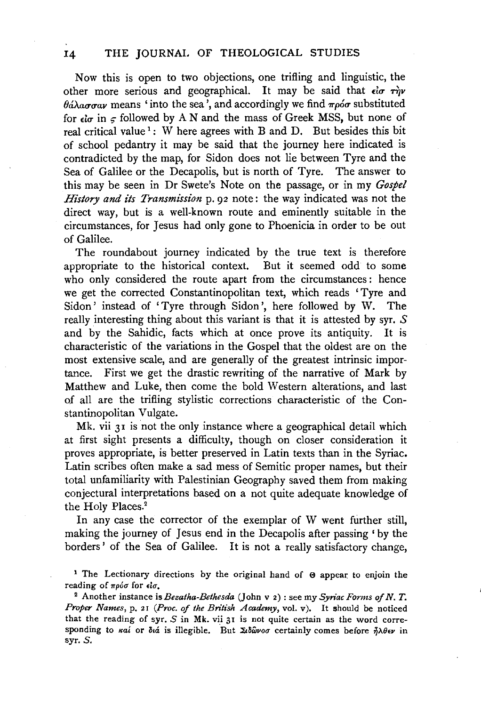## 14 THE JOURNAL OF THEOLOGICAL STUDIES

Now this is open to two objections, one trifling and linguistic, the other more serious and geographical. It may be said that  $\epsilon i\sigma \tau \dot{m}$  $\theta d\lambda a\sigma\sigma a\nu$  means 'into the sea<sup>'</sup>, and accordingly we find  $\pi\rho\sigma\sigma$  substituted for  $\epsilon \cdot i\sigma$  in  $\epsilon$  followed by A N and the mass of Greek MSS, but none of real critical value<sup>1</sup>: W here agrees with B and D. But besides this bit of school pedantry it may be said that the journey here indicated is contradicted by the map, for Sidon does not lie between Tyre and the Sea of Galilee or the Decapolis, but is north of Tyre. The answer to this may be seen in Dr Swete's Note on the passage, or in my *Gospel History and its Transmissz'on* p. 92 note: the way indicated was not the direct way, but is a well-known route and eminently suitable in the circumstances, for Jesus had only gone to Phoenicia in order to be out of Galilee.

The roundabout journey indicated by the true text is therefore appropriate to the historical context. But it seemed odd to some who only considered the route apart from the circumstances: hence we get the corrected Constantinopolitan text, which reads 'Tyre and Sidon' instead of 'Tyre through Sidon', here followed by W. The really interesting thing about this variant is that it is attested by syr. S and by the Sahidic, facts which at once prove its antiquity. It is characteristic of the variations in the Gospel that the oldest are on the most extensive scale, and are generally of the greatest intrinsic importance. First we get the drastic rewriting of the narrative of Mark by Matthew and Luke, then come the bold Western alterations, and last of all are the trifling stylistic corrections characteristic of the Constantinopolitan Vulgate.

Mk. vii 31 is not the only instance where a geographical detail which at first sight presents a difficulty, though on closer consideration it proves appropriate, is better preserved in Latin texts than in the Syriac. Latin scribes often make a sad mess of Semitic proper names, but their total unfamiliarity with Palestinian Geography saved them from making conjectural interpretations based on a not quite adequate knowledge of the Holy Places.<sup>2</sup>

In any case the corrector of the exemplar of W went further still, making the journey of Jesus end in the Decapolis after passing ' by the borders ' of the Sea of Galilee. It is not a really satisfactory change,

<sup>1</sup> The Lectionary directions by the original hand of  $\Theta$  appear to enjoin the reading of  $\pi \rho \delta \sigma$  for  $\epsilon \delta \sigma$ .

<sup>2</sup> Another instance is *Bezatha-Bethesda* (John v 2) : see my *Syriac Forms of N. T. Proper Names,* p. 21 *(Proc. of the British Academy,* vol. v). It should be noticed that the reading of syr,  $S$  in Mk, vii 31 is not quite certain as the word corresponding to *nai* or  $\delta u$  is illegible. But  $\Sigma t \delta \hat{\omega} v$  certainly comes before  $\tilde{\eta} \lambda \theta \epsilon v$  in syr. *S.*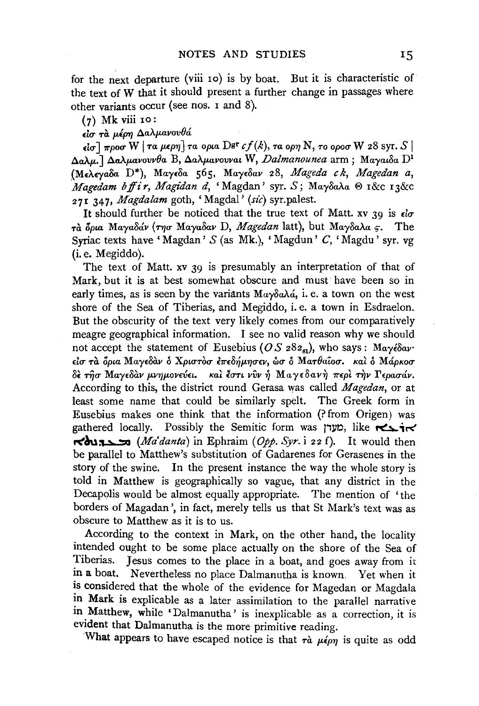for the next departure (viii 10) is by boat. But it is characteristic of the text of W that it should present a further change in passages where other variants occur (see nos. 1 and 8).

(7) Mk viii 10:

 $\epsilon$ ίσ τα μέρη Δαλμανουθά

 $\epsilon$ io<sup>1</sup>  $\pi$ poo<sup>r</sup> W |  $\tau$ a  $\mu$ ερη]  $\tau$ a opia D<sup>gr</sup> *c*  $f(k)$ ,  $\tau$ a opη N,  $\tau$ o opoor W 28 syr. S | Aa>..µ.. J *Aa>..µ.avovv8a* B, *Aa>..µ.avovvai* W, *Dalmanounea* arm ; *Mayai8a* D1 *(M£A£Ya8a* D\*), *May£8a* 565, *May£8av* 28, *Mageda ck, Magedan a, Magedam b* jfi *r, Magi'dan d,* 'Magdan' syr. *S; May8a>..a* @ 1&c 13&c 271 347, *Magda/am* goth, 'Magdal' *(sic)* syr.palest.

It should further be noticed that the true text of Matt. xv 39 is  $\epsilon l \sigma$  $T\alpha$  δρια Μαγαδάν (τησ Μαγαδαν D, *Magedan* latt), but Μαγδαλα *ς*. The Syriac texts have 'Magdan' S (as Mk.), 'Magdun' C, 'Magdu' syr. vg (i. e. Megiddo).

The text of Matt. xv 39 is presumably an interpretation of that of Mark, but it is at best somewhat obscure and must have been so in early times, as is seen by the variants  $M_{\alpha}$ *a* $\delta$ *a* $\lambda$ *á*, *i.e.* a town on the west shore of the Sea of Tiberias, and Megiddo, i. e. a town in Esdraelon. But the obscurity of the text very likely comes from our comparatively meagre geographical information. I see no valid reason why we should not accept the statement of Eusebius ( $OS_282_{\text{st}}$ ), who says :  $\text{Ma}\gamma\epsilon\delta a\gamma\cdot\text{Ra}$  $\epsilon$ ίστα δρια Μαγεδαν ο Χριστοσ έπεδήμησεν, ωσ ο Ματθαίοσ. και ο Μάρκοσ 8€ *rijU" May£8av P.V1JP.OVW£t. Kat lU"Tt vvv Ti* May£8av~ *7r€pt* ~v *r€paU"av.*  According to this, the district round Gerasa was called *Magedan,* or at least some name that could be similarly spelt. The Greek form in Eusebius makes one think that the information (?from Origen) was gathered locally. Possibly the Semitic form was  $\Box$ מערן like  $\Box$ דאר r(~~ *(Ma'danta)* in Ephraim (Opp. Syr. i 22 f). It would then be parallel to Matthew's substitution of Gadarenes for Gerasenes in the story of the swine. In the present instance the way the whole story is told in Matthew is geographically so vague, that any district in the Decapolis would be almost equally appropriate. The mention of 'the borders of Magadan', in fact, merely tells us that St Mark's text was as obscure to Matthew as it is to us.

According to the context in Mark, on the other hand, the locality intended ought to be some place actually on the shore of the Sea of Tiberias. Jesus comes to the place in a boat, and goes away from it in a boat. Nevertheless no place Dalmanutha is known. Yet when it is considered that the whole of the evidence for Magedan or Magdala in Mark is explicable as a later assimilation to the parallel narrative in Matthew, while 'Dalmanutha' is inexplicable as a correction, it is evident that Dalmanutha is the more primitive reading.

What appears to have escaped notice is that  $\tau \dot{a}$   $\mu \dot{\epsilon} \rho \eta$  is quite as odd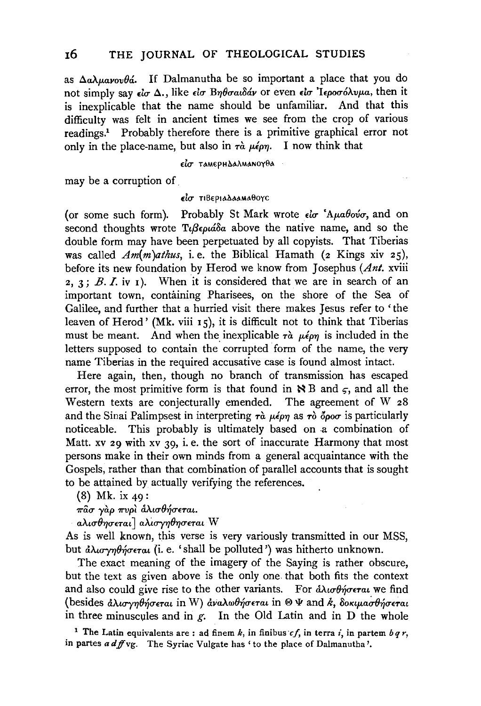as  $\Delta a\lambda \mu a\nu v \theta d$ . If Dalmanutha be so important a place that you do not simply say *£i<T* A., like *£i<T B718<Taia&v* or even *£l<T '1£po<T6Avµ.a,* then it is inexplicable that the name should be unfamiliar. And that this difficulty was felt in ancient times we see from the crop of various readings.1 Probably therefore there is a primitive graphical error not only in the place-name, but also in  $\tau \dot{a}$   $\mu \epsilon \rho \eta$ . I now think that

 $\epsilon$ ίσ ταΜερΗΔαλΜαΝΟΥθα

may be a corruption of

#### $\epsilon \i{c}$  **TIBEPIALAAMAOOYC**

(or some such form). Probably St Mark wrote *είσ* 'Αμαθούσ, and on second thoughts wrote  $T_{i}\beta \epsilon \rho \omega \delta \alpha$  above the native name, and so the double form may have been perpetuated by all copyists. That Tiberias was called *Am(m)athus*, i.e. the Biblical Hamath (2 Kings xiv 25), before its new foundation by Herod we know from Josephus *(Ant.* xviii 2, 3; B. I. iv 1). When it is considered that we are in search of an important town, containing Pharisees, on the shore of the Sea of Galilee, and further that a hurried visit there makes Jesus refer to 'the leaven of Herod' (Mk. viii 15), it is difficult not to think that Tiberias must be meant. And when the inexplicable  $\tau \dot{a}$   $\mu \epsilon \rho \eta$  is included in the letters supposed to contain the corrupted form of the name, the very name Tiberias in the required accusative case is found almost intact.

Here again, then, though no branch of transmission has escaped error, the most primitive form is that found in  $\aleph B$  and  $\epsilon$ , and all the Western texts are conjecturally emended. The agreement of W 28 and the Sinai Palimpsest in interpreting  $\tau \hat{a}$   $\mu \epsilon \rho \eta$  as  $\tau \hat{b}$   $\delta \rho \sigma \sigma$  is particularly noticeable. This probably is ultimately based on a combination of Matt. xv 29 with xv 39, i.e. the sort of inaccurate Harmony that most persons make in their own minds from a general acquaintance with the Gospels, rather than that combination of parallel accounts that is sought to be attained by actually verifying the references.

(8) Mk. ix 49:

 $\pi$ a*σ* γαρ πυρι αλισθήσεται.

 $a\lambda\iota\sigma\theta\eta\sigma$ εται | αλισγηθησεται W

As is well known, this verse is very variously transmitted in our MSS, but  $\partial_{\mu}a_{\nu}$ 

The exact meaning of the imagery of the Saying is rather obscure, but the text as given above is the only one that both fits the context and also could give rise to the other variants. For  $\delta \lambda \omega \theta \eta \sigma$  eral we find (besides αλισγηθήσεται in W) αναλωθήσεται in  $\Theta$  V and *k*, δοκιμασθήσεται in three minuscules and in  $g$ . In the Old Latin and in D the whole

<sup>1</sup> The Latin equivalents are : ad finem *k*, in finibus *cf*, in terra *i*, in partem  $b q r$ , in partes *a dff* vg. The Syriac Vulgate has ' to the place of Dalmanutha'.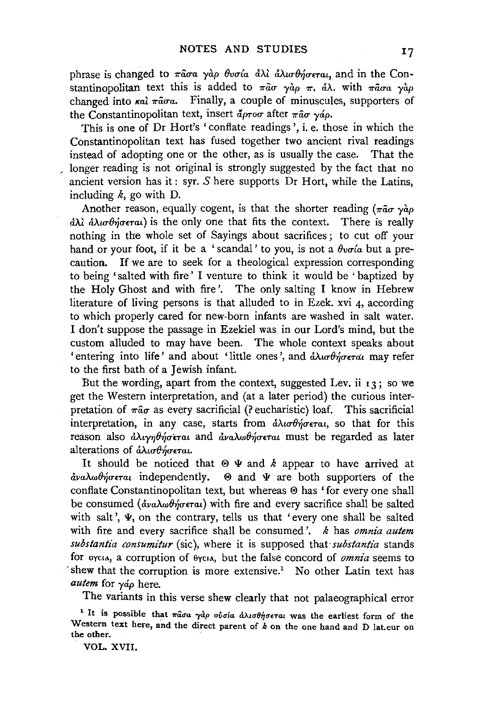phrase is changed to πασα γαρ θυσία άλι άλισθήσεται, and in the Constantinopolitan text this is added to  $\pi a\sigma \gamma a\rho \pi$ ,  $a\lambda$ , with  $\pi a\sigma a \gamma a\rho$ changed into  $\kappa a$   $\vec{a} \sigma a$ . Finally, a couple of minuscules, supporters of the Constantinopolitan text, insert  $\vec{a}$ *p*rov after  $\pi \hat{a} \sigma$   $\gamma \hat{a} \rho$ .

This is one of Dr Hort's ' conflate readings ', i. e. those in which the Constantinopolitan text has fused together two ancient rival readings instead of adopting one or the other, as is usually the case. That the longer reading is not original is strongly suggested by the fact that no ancient version has it : syr. S here supports Dr Hort, while the Latins, including  $k$ , go with D.

Another reason, equally cogent, is that the shorter reading  $(\pi \hat{a} \sigma \gamma \hat{a})$  $\partial \lambda \lambda \partial \omega \partial \eta$  *a* $\lambda \omega \partial \eta$  *oration* is the only one that fits the context. There is really nothing in the whole set of Sayings about sacrifices; to cut off your hand or your foot, if it be a 'scandal' to you, is not a  $\theta$ voia but a precaution. If we are to seek for a theological expression corresponding to being 'salted with fire ' I venture to think it would be ' baptized by the Holy Ghost and with fire'. The only salting I know in Hebrew literature of living persons is that alluded to in Ezek. xvi 4, according to which properly cared for new-born infants are washed in salt water. I don't suppose the passage in Ezekiel was in our Lord's mind, but the custom alluded to may have been. The whole context speaks about 'entering into life' and about 'little ones', and  $\partial \lambda \omega \partial \eta \sigma \epsilon \tau \alpha \iota$  may refer to the first bath of a Jewish infant.

But the wording, apart from the context, suggested Lev. ii  $13$ ; so we get the Western interpretation, and (at a later period) the curious interpretation of  $\pi \hat{a} \sigma$  as every sacrificial (? eucharistic) loaf. This sacrificial interpretation, in any case, starts from  $\partial \lambda u \partial \eta' \partial \sigma \partial \tau u$ , so that for this reason also  $\partial \lambda_i \gamma_i \partial \eta'_i \partial \delta_j$  and  $\partial \nu_i \partial \lambda_i \partial \eta'_i \partial \delta_j \sigma_k$  must be regarded as later alterations of aλισθήσεται.

It should be noticed that  $\Theta \Psi$  and  $k$  appear to have arrived at  $\frac{\partial}{\partial y}a\lambda \omega \theta \eta \sigma$  eral independently.  $\Theta$  and  $\Psi$  are both supporters of the conflate Constantinopolitan text, but whereas ® has 'for every one shall be consumed ( $\partial \nu \partial \phi$ ) with fire and every sacrifice shall be salted with salt',  $\Psi$ , on the contrary, tells us that 'every one shall be salted with fire and every sacrifice shall be consumed'. *k* has *omnia autem substantia consumitur* (sic), where it is supposed *that·substantia* stands for oyc1A, a corruption of 8yc1A, but the false concord of *omnia* seems to `shew that the corruption is more extensive.<sup>1</sup> No other Latin text has *autem* for *yap* here.

The variants in this verse shew clearly that not palaeographical error

<sup>1</sup> It is possible that  $\pi \hat{a} \sigma a \gamma \hat{a} \rho$  olosia  $\hat{a} \lambda \iota \sigma \theta \hat{\eta} \sigma \epsilon \tau a \iota$  was the earliest form of the Western text here, and the direct parent of *k* on the one hand and D lat.eur on the other.

VOL. XVII,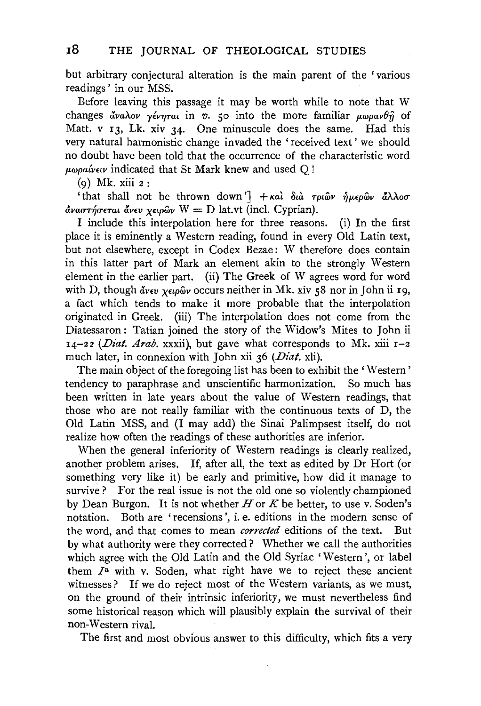but arbitrary conjectural alteration is the main parent of the 'various readings ' in our MSS.

Before leaving this passage it may be worth while to note that W changes ava $\lambda$ ov  $\gamma$ ένηται in *v.* 50 into the more familiar  $\mu \omega \rho \alpha \nu \theta \hat{\eta}$  of Matt. v  $r_3$ , Lk. xiv  $r_4$ . One minuscule does the same. Had this very natural harmonistic change invaded the 'received text' we should no doubt have been told that the occurrence of the characteristic word  $\mu\omega\rho a\acute{\nu}\epsilon\iota\nu$  indicated that St Mark knew and used Q !

 $(a)$  Mk. xiii  $2:$ 

'that shall not be thrown down']  $+\kappa a\hat{i} \delta a\hat{j} \sigma \tau \hat{j} \omega \hat{k}$  $\frac{d}{d}v$  av $\tau\gamma\sigma$   $\epsilon\tau\alpha\iota$   $\frac{d}{d}v\epsilon v$   $\chi\epsilon\iota\rho\hat{\omega}\iota v$   $W = D$  lat.vt (incl. Cyprian).

I include this interpolation here for three reasons. (i) In the first place it is eminently a Western reading, found in every Old Latin text, but not elsewhere, except in Codex Bezae: W therefore does contain in this latter part of Mark an element akin to the strongly Western element in the earlier part. (ii) The Greek of W agrees word for word with D, though  $\tilde{d}v \in v \chi \epsilon \omega_0 \tilde{\omega}v$  occurs neither in Mk. xiv 58 nor in John ii 19, a fact which tends to make it more probable that the interpolation originated in Greek. (iii) The interpolation does not come from the Diatessaron : Tatian joined the story of the Widow's Mites to John ii  $14-22$  *(Diat. Arab.* xxxii), but gave what corresponds to Mk. xiii  $I-2$ much later, in connexion with John xii 36 *(Diat.* xli).

The main object of the foregoing list has been to exhibit the ' Western ' tendency to paraphrase and unscientific harmonization. So much has been written in late years about the value of Western readings, that those who are not really familiar with the continuous texts of D, the Old Latin MSS, and (I may add) the Sinai Palimpsest itself, do not realize how often the readings of these authorities are inferior.

When the general inferiority of Western readings is clearly realized, another problem arises. If, after all, the text as edited by Dr Hort (or something very like it) be early and primitive, how did it manage to survive? For the real issue is not the old one so violently championed by Dean Burgon. It is not whether  $H$  or  $K$  be better, to use v. Soden's notation. Both are 'recensions ', i. e. editions in the modern sense of the word, and that comes to mean *corrected* editions of the text. But by what authority were they corrected ? Whether we call the authorities which agree with the Old Latin and the Old Syriac 'Western ', or label them  $I^{\tilde{a}}$  with v. Soden, what right have we to reject these ancient witnesses? If we do reject most of the Western variants, as we must, on the ground of their intrinsic inferiority, we must nevertheless find some historical reason which will plausibly explain the survival of their non-Western rival.

The first and most obvious answer to this difficulty, which fits a very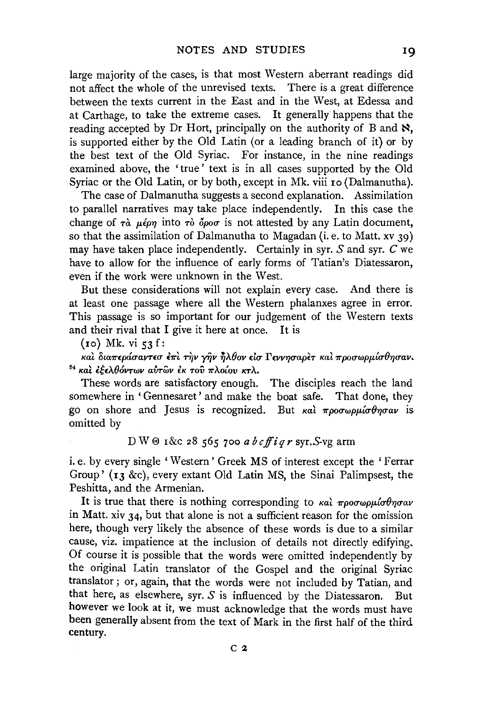large majority of the cases, is that most Western aberrant readings did not affect the whole of the unrevised texts. There is a great difference between the texts current in the East and in the West, at Edessa and at Carthage, to take the extreme cases. It generally happens that the reading accepted by Dr Hort, principally on the authority of B and  $\aleph$ . is supported either by the Old Latin (or a leading branch of it) or by the best text of the Old Syriac. For instance, in the nine readings examined above, the 'true' text is in all cases supported by the Old Syriac or the Old Latin, or by both, except in Mk, viii 10 (Dalmanutha).

The case of Dalmanutha suggests a second explanation. Assimilation to parallel narratives may take place independently. In this case the change of  $\tau \dot{a}$   $\mu \epsilon \rho \eta$  into  $\tau \dot{b}$  *čoo* is not attested by any Latin document, so that the assimilation of Dalmanutha to Magadan (i.e. to Matt. xv 39) may have taken place independently. Certainly in syr.  $S$  and syr.  $C$  we have to allow for the influence of early forms of Tatian's Diatessaron, even if the work were unknown in the West.

But these considerations will not explain every case. And there is at least one passage where all the Western phalanxes agree in error. This passage is so important for our judgement of the Western texts and their rival that I give it here at once. It is

 $(10)$  Mk. vi 53 f:

και διαπεράσαντεσ έπι την γην ήλθον είσ Γεννησαρετ και προσωρμίσθησαν. <sup>54</sup> και εξελθόντων αυτών εκ του πλοίου κτλ.

These words are satisfactory enough. The disciples reach the land somewhere in 'Gennesaret' and make the boat safe. That done, they go on shore and Jesus is recognized. But και προσωρμίσθησαν is omitted by

# D W ® 1&c 28 565 700 *a bcffiq r* syr.S-vg arm

i. e. by every single 'Western' Greek MS of interest except the 'Ferrar Group' (13 &c), every extant Old Latin MS, the Sinai Palimpsest, the Peshitta, and the Armenian.

It is true that there is nothing corresponding to  $\kappa a \hat{i} \pi \rho \sigma \sigma \omega \rho \mu \sigma \theta \eta \sigma \alpha \nu$ in Matt. xiv 34, but that alone is not a sufficient reason for the omission here, though very likely the absence of these words is due to a similar cause, viz. impatience at the inclusion of details not directly edifying. Of course it is possible that the words were omitted independently by the original Latin translator of the Gospel and the original Syriac translator; or, again, that the words were not included by Tatian, and that here, as elsewhere, syr. *S* is influenced by the Diatessaron. But however we look at it, we must acknowledge that the words must have been generally absent from the text of Mark in the first half of the third century.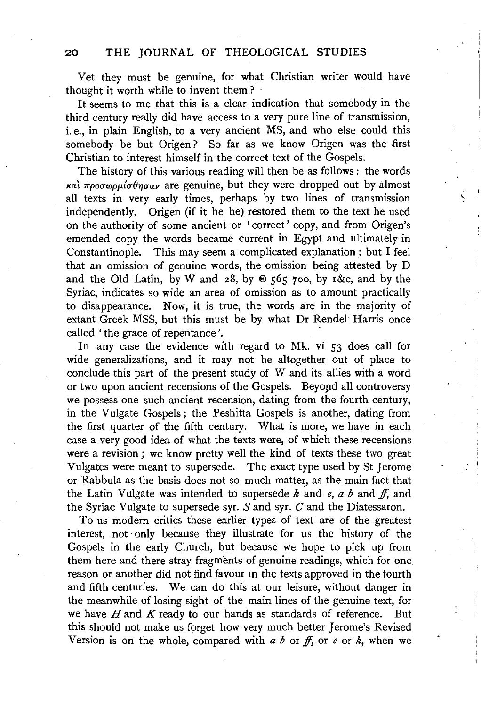## 20 THE JOURNAL OF THEOLOGICAL STUDIES

Yet they must be genuine, for what Christian writer would have thought it worth while to invent them ? ·

It seems to me that this is a clear indication that somebody in the third century really did have access to a very pure line of transmission, i. e., in plain English, to a very ancient MS, and who else could this somebody be but Origen? So far as we know Origen was the first Christian to interest himself in the correct text of the Gospels.

The history of this various reading will then be as follows : the words  $κ$ *αί προσωρμίσθησαν* are genuine, but they were dropped out by almost all texts in very early times, perhaps by two lines of transmission independently. Origen (if it be he) restored them to the text he used on the authority of some ancient or 'correct' copy, and from Origen's emended copy the words became current in Egypt and ultimately in Constantinople. This may seem a complicated explanation; but I feel that an omission of genuine words, the omission being attested by D and the Old Latin, by W and 28, by  $\Theta$  565 700, by 1&c, and by the Syriac, indicates so wide an area of omission as to amount practically to disappearance. Now, it is true, the words are in the majority of extant Greek MSS, but this must be by what Dr Rendel' Harris once called 'the grace of repentance'.

'

In any case the evidence with regard to Mk. vi 53 does call for wide generalizations, and it may not be altogether out of place to conclude this part of the present study of W and its allies with a word or two upon ancient recensions of the Gospels. Beyopd all controversy we possess one such ancient recension, dating from the fourth century, in the Vulgate Gospels; the Peshitta Gospels is another, dating from the first quarter of the fifth century. What is more, we have in each case a very good idea of what the texts were, of which these recensions were a revision ; we know pretty well the kind of texts these two great Vulgates were meant to supersede. The exact type used by St Jerome or Rabbula as the basis does not so much matter, as the main fact that the Latin Vulgate was intended to supersede *k* and *e, a b* and ff, and the Syriac Vulgate to supersede syr. Sand syr. *C* and the Diatessaron.

To us modern critics these earlier types of text are of the greatest interest, not only because they illustrate for us the history of the Gospels in the early Church, but because we hope to pick up from them here and there stray fragments of genuine readings, which for one reason or another did not find favour in the texts approved in the fourth and fifth centuries. We can do this at our leisure, without danger in the meanwhile of losing sight of the main lines of the genuine text, for we have  $H$  and  $K$  ready to our hands as standards of reference. But this should not make us forget how very much better Jerome's Revised Version is on the whole, compared with  $a \, b$  or  $f$ , or  $e$  or  $k$ , when we